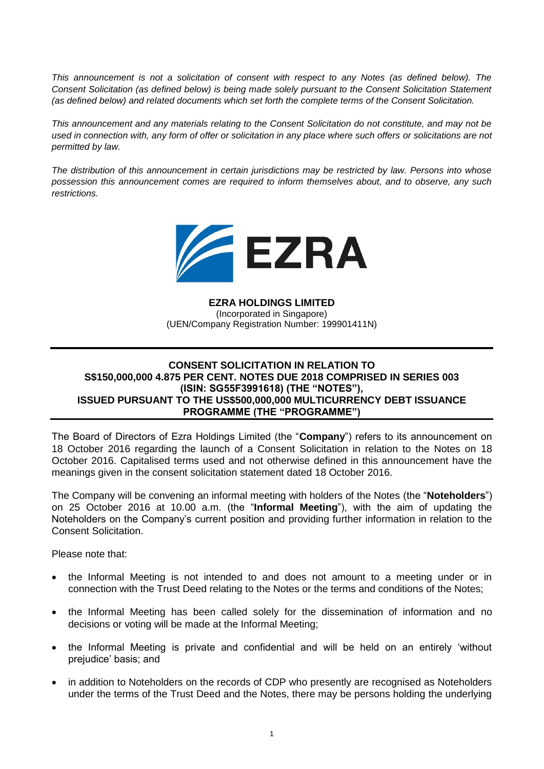*This announcement is not a solicitation of consent with respect to any Notes (as defined below). The Consent Solicitation (as defined below) is being made solely pursuant to the Consent Solicitation Statement (as defined below) and related documents which set forth the complete terms of the Consent Solicitation.*

*This announcement and any materials relating to the Consent Solicitation do not constitute, and may not be used in connection with, any form of offer or solicitation in any place where such offers or solicitations are not permitted by law.* 

*The distribution of this announcement in certain jurisdictions may be restricted by law. Persons into whose possession this announcement comes are required to inform themselves about, and to observe, any such restrictions.*



**EZRA HOLDINGS LIMITED** (Incorporated in Singapore) (UEN/Company Registration Number: 199901411N)

## **CONSENT SOLICITATION IN RELATION TO S\$150,000,000 4.875 PER CENT. NOTES DUE 2018 COMPRISED IN SERIES 003 (ISIN: SG55F3991618) (THE "NOTES"), ISSUED PURSUANT TO THE US\$500,000,000 MULTICURRENCY DEBT ISSUANCE PROGRAMME (THE "PROGRAMME")**

The Board of Directors of Ezra Holdings Limited (the "**Company**") refers to its announcement on 18 October 2016 regarding the launch of a Consent Solicitation in relation to the Notes on 18 October 2016. Capitalised terms used and not otherwise defined in this announcement have the meanings given in the consent solicitation statement dated 18 October 2016.

The Company will be convening an informal meeting with holders of the Notes (the "**Noteholders**") on 25 October 2016 at 10.00 a.m. (the "**Informal Meeting**"), with the aim of updating the Noteholders on the Company's current position and providing further information in relation to the Consent Solicitation.

Please note that:

- the Informal Meeting is not intended to and does not amount to a meeting under or in connection with the Trust Deed relating to the Notes or the terms and conditions of the Notes;
- the Informal Meeting has been called solely for the dissemination of information and no decisions or voting will be made at the Informal Meeting;
- the Informal Meeting is private and confidential and will be held on an entirely 'without prejudice' basis; and
- in addition to Noteholders on the records of CDP who presently are recognised as Noteholders under the terms of the Trust Deed and the Notes, there may be persons holding the underlying